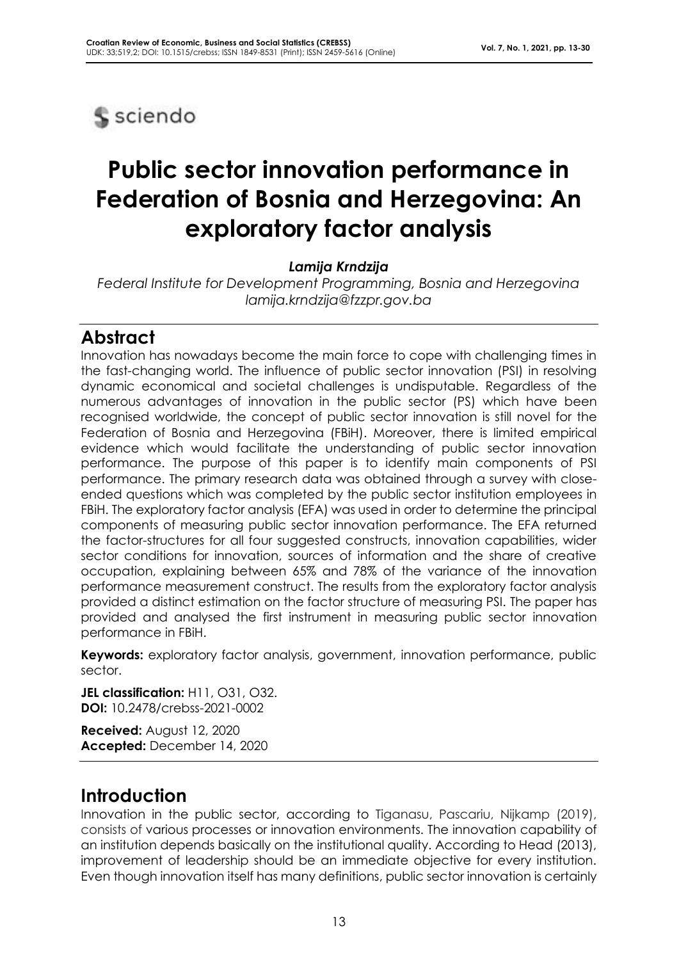

# **Public sector innovation performance in Federation of Bosnia and Herzegovina: An exploratory factor analysis**

*Lamija Krndzija*

*Federal Institute for Development Programming, Bosnia and Herzegovina lamija.krndzija@fzzpr.gov.ba*

# **Abstract**

Innovation has nowadays become the main force to cope with challenging times in the fast-changing world. The influence of public sector innovation (PSI) in resolving dynamic economical and societal challenges is undisputable. Regardless of the numerous advantages of innovation in the public sector (PS) which have been recognised worldwide, the concept of public sector innovation is still novel for the Federation of Bosnia and Herzegovina (FBiH). Moreover, there is limited empirical evidence which would facilitate the understanding of public sector innovation performance. The purpose of this paper is to identify main components of PSI performance. The primary research data was obtained through a survey with closeended questions which was completed by the public sector institution employees in FBiH. The exploratory factor analysis (EFA) was used in order to determine the principal components of measuring public sector innovation performance. The EFA returned the factor-structures for all four suggested constructs, innovation capabilities, wider sector conditions for innovation, sources of information and the share of creative occupation, explaining between 65% and 78% of the variance of the innovation performance measurement construct. The results from the exploratory factor analysis provided a distinct estimation on the factor structure of measuring PSI. The paper has provided and analysed the first instrument in measuring public sector innovation performance in FBiH.

**Keywords:** exploratory factor analysis, government, innovation performance, public sector.

**JEL classification:** H11, O31, O32. **DOI:** 10.2478/crebss-2021-0002

**Received:** August 12, 2020 **Accepted:** December 14, 2020

# **Introduction**

Innovation in the public sector, according to Tiganasu, Pascariu, Nijkamp (2019), consists of various processes or innovation environments. The innovation capability of an institution depends basically on the institutional quality. According to Head (2013), improvement of leadership should be an immediate objective for every institution. Even though innovation itself has many definitions, public sector innovation is certainly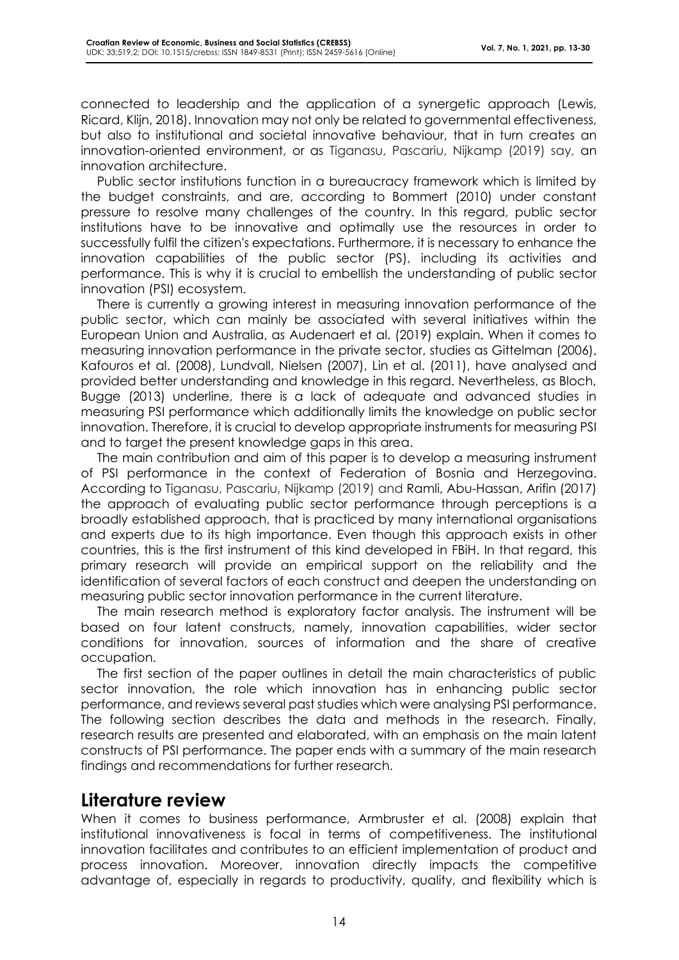connected to leadership and the application of a synergetic approach (Lewis, Ricard, Klijn, 2018). Innovation may not only be related to governmental effectiveness, but also to institutional and societal innovative behaviour, that in turn creates an innovation-oriented environment, or as Tiganasu, Pascariu, Nijkamp (2019) say, an innovation architecture.

Public sector institutions function in a bureaucracy framework which is limited by the budget constraints, and are, according to Bommert (2010) under constant pressure to resolve many challenges of the country. In this regard, public sector institutions have to be innovative and optimally use the resources in order to successfully fulfil the citizen's expectations. Furthermore, it is necessary to enhance the innovation capabilities of the public sector (PS), including its activities and performance. This is why it is crucial to embellish the understanding of public sector innovation (PSI) ecosystem.

There is currently a growing interest in measuring innovation performance of the public sector, which can mainly be associated with several initiatives within the European Union and Australia, as Audenaert et al. (2019) explain. When it comes to measuring innovation performance in the private sector, studies as Gittelman (2006), Kafouros et al. (2008), Lundvall, Nielsen (2007), Lin et al. (2011), have analysed and provided better understanding and knowledge in this regard. Nevertheless, as Bloch, Bugge (2013) underline, there is a lack of adequate and advanced studies in measuring PSI performance which additionally limits the knowledge on public sector innovation. Therefore, it is crucial to develop appropriate instruments for measuring PSI and to target the present knowledge gaps in this area.

The main contribution and aim of this paper is to develop a measuring instrument of PSI performance in the context of Federation of Bosnia and Herzegovina. According to Tiganasu, Pascariu, Nijkamp (2019) and Ramli, Abu-Hassan, Arifin (2017) the approach of evaluating public sector performance through perceptions is a broadly established approach, that is practiced by many international organisations and experts due to its high importance. Even though this approach exists in other countries, this is the first instrument of this kind developed in FBiH. In that regard, this primary research will provide an empirical support on the reliability and the identification of several factors of each construct and deepen the understanding on measuring public sector innovation performance in the current literature.

The main research method is exploratory factor analysis. The instrument will be based on four latent constructs, namely, innovation capabilities, wider sector conditions for innovation, sources of information and the share of creative occupation.

The first section of the paper outlines in detail the main characteristics of public sector innovation, the role which innovation has in enhancing public sector performance, and reviews several past studies which were analysing PSI performance. The following section describes the data and methods in the research. Finally, research results are presented and elaborated, with an emphasis on the main latent constructs of PSI performance. The paper ends with a summary of the main research findings and recommendations for further research.

### **Literature review**

When it comes to business performance, Armbruster et al. (2008) explain that institutional innovativeness is focal in terms of competitiveness. The institutional innovation facilitates and contributes to an efficient implementation of product and process innovation. Moreover, innovation directly impacts the competitive advantage of, especially in regards to productivity, quality, and flexibility which is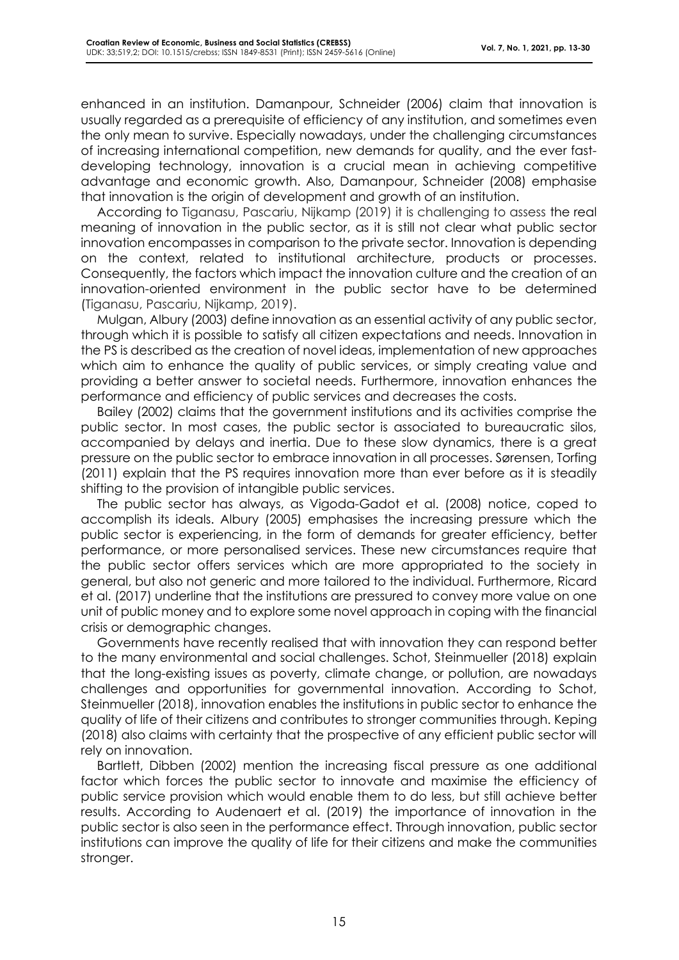enhanced in an institution. Damanpour, Schneider (2006) claim that innovation is usually regarded as a prerequisite of efficiency of any institution, and sometimes even the only mean to survive. Especially nowadays, under the challenging circumstances of increasing international competition, new demands for quality, and the ever fastdeveloping technology, innovation is a crucial mean in achieving competitive advantage and economic growth. Also, Damanpour, Schneider (2008) emphasise that innovation is the origin of development and growth of an institution.

According to Tiganasu, Pascariu, Nijkamp (2019) it is challenging to assess the real meaning of innovation in the public sector, as it is still not clear what public sector innovation encompasses in comparison to the private sector. Innovation is depending on the context, related to institutional architecture, products or processes. Consequently, the factors which impact the innovation culture and the creation of an innovation-oriented environment in the public sector have to be determined (Tiganasu, Pascariu, Nijkamp, 2019).

Mulgan, Albury (2003) define innovation as an essential activity of any public sector, through which it is possible to satisfy all citizen expectations and needs. Innovation in the PS is described as the creation of novel ideas, implementation of new approaches which aim to enhance the quality of public services, or simply creating value and providing a better answer to societal needs. Furthermore, innovation enhances the performance and efficiency of public services and decreases the costs.

Bailey (2002) claims that the government institutions and its activities comprise the public sector. In most cases, the public sector is associated to bureaucratic silos, accompanied by delays and inertia. Due to these slow dynamics, there is a great pressure on the public sector to embrace innovation in all processes. Sørensen, Torfing (2011) explain that the PS requires innovation more than ever before as it is steadily shifting to the provision of intangible public services.

The public sector has always, as Vigoda-Gadot et al. (2008) notice, coped to accomplish its ideals. Albury (2005) emphasises the increasing pressure which the public sector is experiencing, in the form of demands for greater efficiency, better performance, or more personalised services. These new circumstances require that the public sector offers services which are more appropriated to the society in general, but also not generic and more tailored to the individual. Furthermore, Ricard et al. (2017) underline that the institutions are pressured to convey more value on one unit of public money and to explore some novel approach in coping with the financial crisis or demographic changes.

Governments have recently realised that with innovation they can respond better to the many environmental and social challenges. Schot, Steinmueller (2018) explain that the long-existing issues as poverty, climate change, or pollution, are nowadays challenges and opportunities for governmental innovation. According to Schot, Steinmueller (2018), innovation enables the institutions in public sector to enhance the quality of life of their citizens and contributes to stronger communities through. Keping (2018) also claims with certainty that the prospective of any efficient public sector will rely on innovation.

Bartlett, Dibben (2002) mention the increasing fiscal pressure as one additional factor which forces the public sector to innovate and maximise the efficiency of public service provision which would enable them to do less, but still achieve better results. According to Audenaert et al. (2019) the importance of innovation in the public sector is also seen in the performance effect. Through innovation, public sector institutions can improve the quality of life for their citizens and make the communities stronger.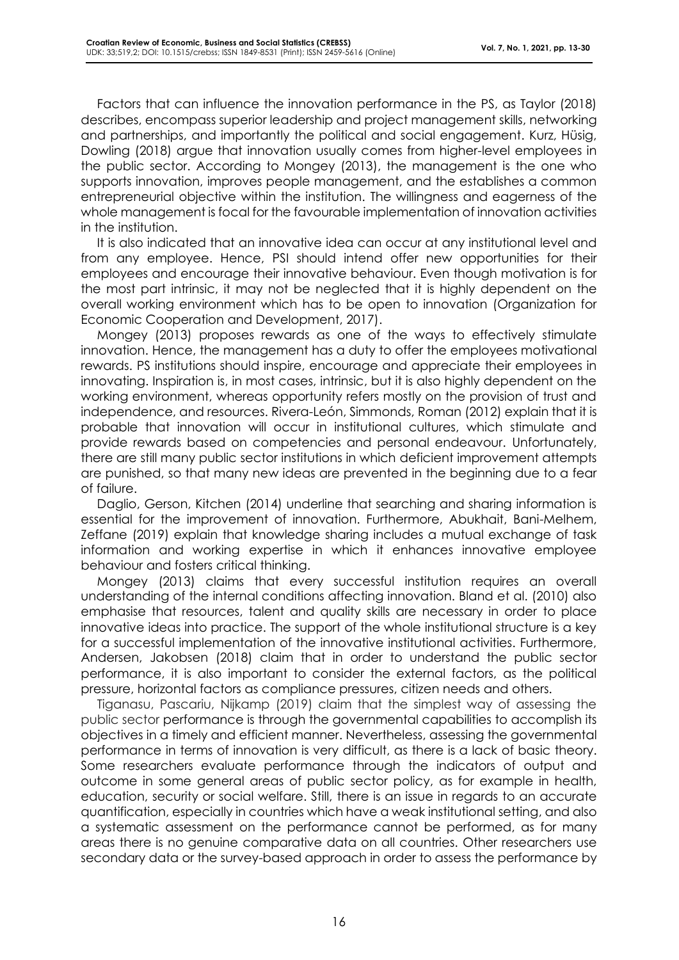Factors that can influence the innovation performance in the PS, as Taylor (2018) describes, encompass superior leadership and project management skills, networking and partnerships, and importantly the political and social engagement. Kurz, Hüsig, Dowling (2018) argue that innovation usually comes from higher-level employees in the public sector. According to Mongey (2013), the management is the one who supports innovation, improves people management, and the establishes a common entrepreneurial objective within the institution. The willingness and eagerness of the whole management is focal for the favourable implementation of innovation activities in the institution.

It is also indicated that an innovative idea can occur at any institutional level and from any employee. Hence, PSI should intend offer new opportunities for their employees and encourage their innovative behaviour. Even though motivation is for the most part intrinsic, it may not be neglected that it is highly dependent on the overall working environment which has to be open to innovation (Organization for Economic Cooperation and Development, 2017).

Mongey (2013) proposes rewards as one of the ways to effectively stimulate innovation. Hence, the management has a duty to offer the employees motivational rewards. PS institutions should inspire, encourage and appreciate their employees in innovating. Inspiration is, in most cases, intrinsic, but it is also highly dependent on the working environment, whereas opportunity refers mostly on the provision of trust and independence, and resources. Rivera-León, Simmonds, Roman (2012) explain that it is probable that innovation will occur in institutional cultures, which stimulate and provide rewards based on competencies and personal endeavour. Unfortunately, there are still many public sector institutions in which deficient improvement attempts are punished, so that many new ideas are prevented in the beginning due to a fear of failure.

Daglio, Gerson, Kitchen (2014) underline that searching and sharing information is essential for the improvement of innovation. Furthermore, Abukhait, Bani-Melhem, Zeffane (2019) explain that knowledge sharing includes a mutual exchange of task information and working expertise in which it enhances innovative employee behaviour and fosters critical thinking.

Mongey (2013) claims that every successful institution requires an overall understanding of the internal conditions affecting innovation. Bland et al. (2010) also emphasise that resources, talent and quality skills are necessary in order to place innovative ideas into practice. The support of the whole institutional structure is a key for a successful implementation of the innovative institutional activities. Furthermore, Andersen, Jakobsen (2018) claim that in order to understand the public sector performance, it is also important to consider the external factors, as the political pressure, horizontal factors as compliance pressures, citizen needs and others.

Tiganasu, Pascariu, Nijkamp (2019) claim that the simplest way of assessing the public sector performance is through the governmental capabilities to accomplish its objectives in a timely and efficient manner. Nevertheless, assessing the governmental performance in terms of innovation is very difficult, as there is a lack of basic theory. Some researchers evaluate performance through the indicators of output and outcome in some general areas of public sector policy, as for example in health, education, security or social welfare. Still, there is an issue in regards to an accurate quantification, especially in countries which have a weak institutional setting, and also a systematic assessment on the performance cannot be performed, as for many areas there is no genuine comparative data on all countries. Other researchers use secondary data or the survey-based approach in order to assess the performance by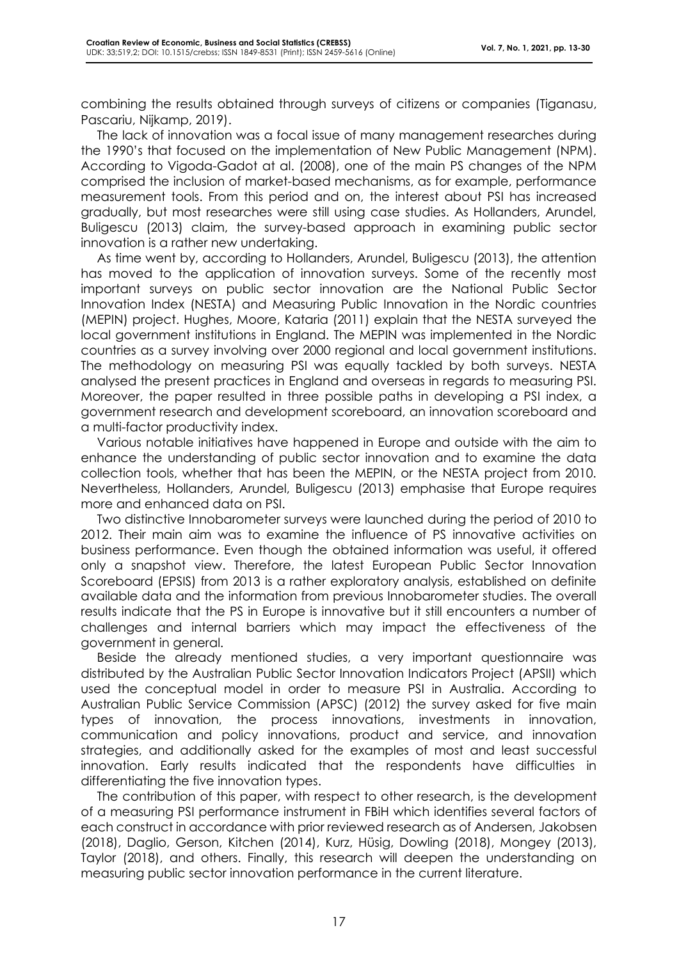combining the results obtained through surveys of citizens or companies (Tiganasu, Pascariu, Nijkamp, 2019).

The lack of innovation was a focal issue of many management researches during the 1990's that focused on the implementation of New Public Management (NPM). According to Vigoda-Gadot at al. (2008), one of the main PS changes of the NPM comprised the inclusion of market-based mechanisms, as for example, performance measurement tools. From this period and on, the interest about PSI has increased gradually, but most researches were still using case studies. As Hollanders, Arundel, Buligescu (2013) claim, the survey-based approach in examining public sector innovation is a rather new undertaking.

As time went by, according to Hollanders, Arundel, Buligescu (2013), the attention has moved to the application of innovation surveys. Some of the recently most important surveys on public sector innovation are the National Public Sector Innovation Index (NESTA) and Measuring Public Innovation in the Nordic countries (MEPIN) project. Hughes, Moore, Kataria (2011) explain that the NESTA surveyed the local government institutions in England. The MEPIN was implemented in the Nordic countries as a survey involving over 2000 regional and local government institutions. The methodology on measuring PSI was equally tackled by both surveys. NESTA analysed the present practices in England and overseas in regards to measuring PSI. Moreover, the paper resulted in three possible paths in developing a PSI index, a government research and development scoreboard, an innovation scoreboard and a multi-factor productivity index.

Various notable initiatives have happened in Europe and outside with the aim to enhance the understanding of public sector innovation and to examine the data collection tools, whether that has been the MEPIN, or the NESTA project from 2010. Nevertheless, Hollanders, Arundel, Buligescu (2013) emphasise that Europe requires more and enhanced data on PSI.

Two distinctive Innobarometer surveys were launched during the period of 2010 to 2012. Their main aim was to examine the influence of PS innovative activities on business performance. Even though the obtained information was useful, it offered only a snapshot view. Therefore, the latest European Public Sector Innovation Scoreboard (EPSIS) from 2013 is a rather exploratory analysis, established on definite available data and the information from previous Innobarometer studies. The overall results indicate that the PS in Europe is innovative but it still encounters a number of challenges and internal barriers which may impact the effectiveness of the government in general.

Beside the already mentioned studies, a very important questionnaire was distributed by the Australian Public Sector Innovation Indicators Project (APSII) which used the conceptual model in order to measure PSI in Australia. According to Australian Public Service Commission (APSC) (2012) the survey asked for five main types of innovation, the process innovations, investments in innovation, communication and policy innovations, product and service, and innovation strategies, and additionally asked for the examples of most and least successful innovation. Early results indicated that the respondents have difficulties in differentiating the five innovation types.

The contribution of this paper, with respect to other research, is the development of a measuring PSI performance instrument in FBiH which identifies several factors of each construct in accordance with prior reviewed research as of Andersen, Jakobsen (2018), Daglio, Gerson, Kitchen (2014), Kurz, Hüsig, Dowling (2018), Mongey (2013), Taylor (2018), and others. Finally, this research will deepen the understanding on measuring public sector innovation performance in the current literature.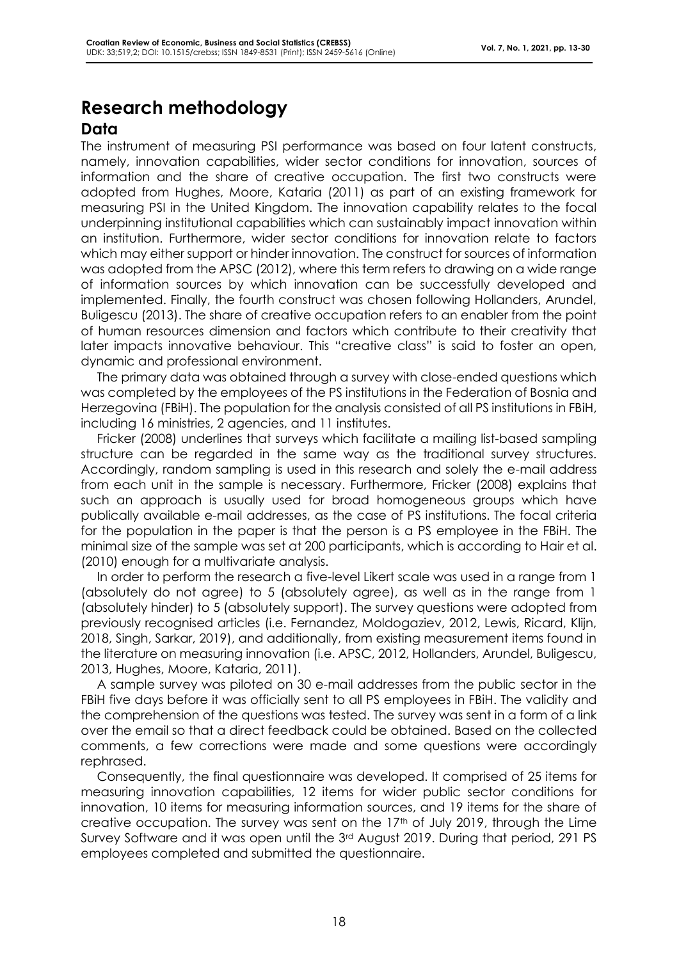## **Research methodology Data**

#### The instrument of measuring PSI performance was based on four latent constructs, namely, innovation capabilities, wider sector conditions for innovation, sources of information and the share of creative occupation. The first two constructs were adopted from Hughes, Moore, Kataria (2011) as part of an existing framework for measuring PSI in the United Kingdom. The innovation capability relates to the focal underpinning institutional capabilities which can sustainably impact innovation within an institution. Furthermore, wider sector conditions for innovation relate to factors which may either support or hinder innovation. The construct for sources of information was adopted from the APSC (2012), where this term refers to drawing on a wide range of information sources by which innovation can be successfully developed and implemented. Finally, the fourth construct was chosen following Hollanders, Arundel, Buligescu (2013). The share of creative occupation refers to an enabler from the point of human resources dimension and factors which contribute to their creativity that later impacts innovative behaviour. This "creative class" is said to foster an open, dynamic and professional environment.

The primary data was obtained through a survey with close-ended questions which was completed by the employees of the PS institutions in the Federation of Bosnia and Herzegovina (FBiH). The population for the analysis consisted of all PS institutions in FBiH, including 16 ministries, 2 agencies, and 11 institutes.

Fricker (2008) underlines that surveys which facilitate a mailing list-based sampling structure can be regarded in the same way as the traditional survey structures. Accordingly, random sampling is used in this research and solely the e-mail address from each unit in the sample is necessary. Furthermore, Fricker (2008) explains that such an approach is usually used for broad homogeneous groups which have publically available e-mail addresses, as the case of PS institutions. The focal criteria for the population in the paper is that the person is a PS employee in the FBiH. The minimal size of the sample was set at 200 participants, which is according to Hair et al. (2010) enough for a multivariate analysis.

In order to perform the research a five-level Likert scale was used in a range from 1 (absolutely do not agree) to 5 (absolutely agree), as well as in the range from 1 (absolutely hinder) to 5 (absolutely support). The survey questions were adopted from previously recognised articles (i.e. Fernandez, Moldogaziev, 2012, Lewis, Ricard, Klijn, 2018, Singh, Sarkar, 2019), and additionally, from existing measurement items found in the literature on measuring innovation (i.e. APSC, 2012, Hollanders, Arundel, Buligescu, 2013, Hughes, Moore, Kataria, 2011).

A sample survey was piloted on 30 e-mail addresses from the public sector in the FBiH five days before it was officially sent to all PS employees in FBiH. The validity and the comprehension of the questions was tested. The survey was sent in a form of a link over the email so that a direct feedback could be obtained. Based on the collected comments, a few corrections were made and some questions were accordingly rephrased.

Consequently, the final questionnaire was developed. It comprised of 25 items for measuring innovation capabilities, 12 items for wider public sector conditions for innovation, 10 items for measuring information sources, and 19 items for the share of creative occupation. The survey was sent on the 17<sup>th</sup> of July 2019, through the Lime Survey Software and it was open until the 3<sup>rd</sup> August 2019. During that period, 291 PS employees completed and submitted the questionnaire.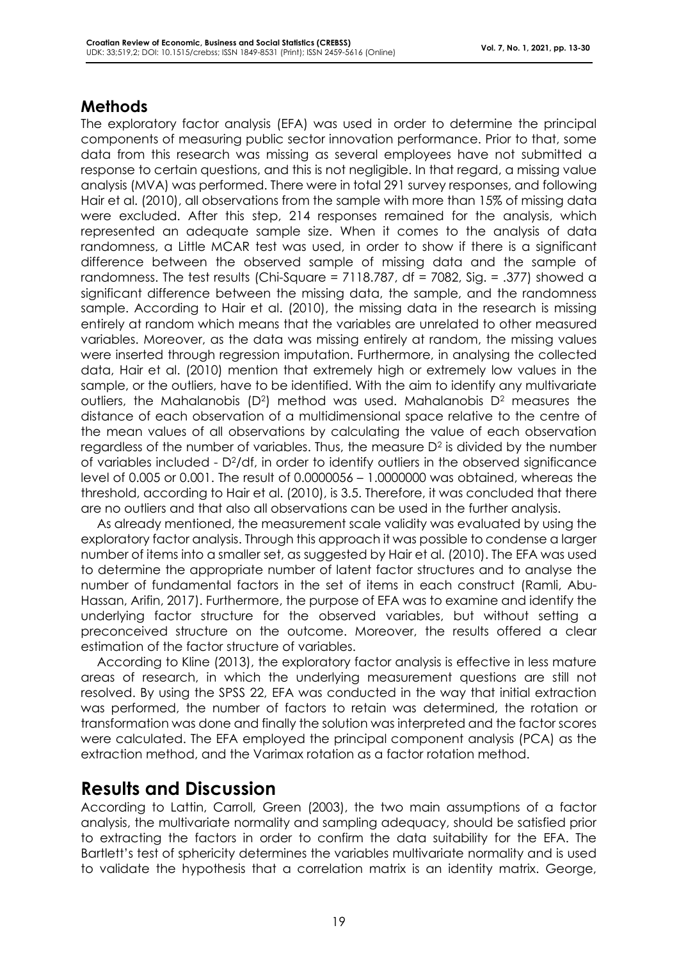### **Methods**

The exploratory factor analysis (EFA) was used in order to determine the principal components of measuring public sector innovation performance. Prior to that, some data from this research was missing as several employees have not submitted a response to certain questions, and this is not negligible. In that regard, a missing value analysis (MVA) was performed. There were in total 291 survey responses, and following Hair et al. (2010), all observations from the sample with more than 15% of missing data were excluded. After this step, 214 responses remained for the analysis, which represented an adequate sample size. When it comes to the analysis of data randomness, a Little MCAR test was used, in order to show if there is a significant difference between the observed sample of missing data and the sample of randomness. The test results (Chi-Square = 7118.787, df = 7082, Sig. = .377) showed a significant difference between the missing data, the sample, and the randomness sample. According to Hair et al. (2010), the missing data in the research is missing entirely at random which means that the variables are unrelated to other measured variables. Moreover, as the data was missing entirely at random, the missing values were inserted through regression imputation. Furthermore, in analysing the collected data, Hair et al. (2010) mention that extremely high or extremely low values in the sample, or the outliers, have to be identified. With the aim to identify any multivariate outliers, the Mahalanobis (D<sup>2</sup>) method was used. Mahalanobis D<sup>2</sup> measures the distance of each observation of a multidimensional space relative to the centre of the mean values of all observations by calculating the value of each observation regardless of the number of variables. Thus, the measure D $^2$  is divided by the number of variables included - D2/df, in order to identify outliers in the observed significance level of 0.005 or 0.001. The result of 0.0000056 – 1.0000000 was obtained, whereas the threshold, according to Hair et al. (2010), is 3.5. Therefore, it was concluded that there are no outliers and that also all observations can be used in the further analysis.

As already mentioned, the measurement scale validity was evaluated by using the exploratory factor analysis. Through this approach it was possible to condense a larger number of items into a smaller set, as suggested by Hair et al. (2010). The EFA was used to determine the appropriate number of latent factor structures and to analyse the number of fundamental factors in the set of items in each construct (Ramli, Abu-Hassan, Arifin, 2017). Furthermore, the purpose of EFA was to examine and identify the underlying factor structure for the observed variables, but without setting a preconceived structure on the outcome. Moreover, the results offered a clear estimation of the factor structure of variables.

According to Kline (2013), the exploratory factor analysis is effective in less mature areas of research, in which the underlying measurement questions are still not resolved. By using the SPSS 22, EFA was conducted in the way that initial extraction was performed, the number of factors to retain was determined, the rotation or transformation was done and finally the solution was interpreted and the factor scores were calculated. The EFA employed the principal component analysis (PCA) as the extraction method, and the Varimax rotation as a factor rotation method.

# **Results and Discussion**

According to Lattin, Carroll, Green (2003), the two main assumptions of a factor analysis, the multivariate normality and sampling adequacy, should be satisfied prior to extracting the factors in order to confirm the data suitability for the EFA. The Bartlett's test of sphericity determines the variables multivariate normality and is used to validate the hypothesis that a correlation matrix is an identity matrix. George,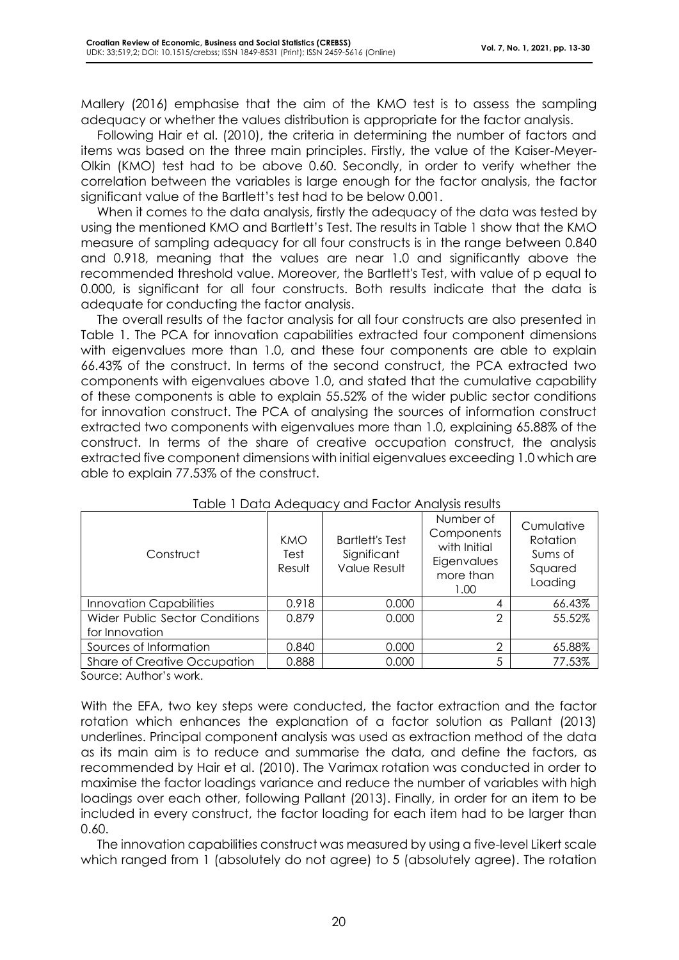Mallery (2016) emphasise that the aim of the KMO test is to assess the sampling adequacy or whether the values distribution is appropriate for the factor analysis.

Following Hair et al. (2010), the criteria in determining the number of factors and items was based on the three main principles. Firstly, the value of the Kaiser-Meyer-Olkin (KMO) test had to be above 0.60. Secondly, in order to verify whether the correlation between the variables is large enough for the factor analysis, the factor significant value of the Bartlett's test had to be below 0.001.

When it comes to the data analysis, firstly the adequacy of the data was tested by using the mentioned KMO and Bartlett's Test. The results in Table 1 show that the KMO measure of sampling adequacy for all four constructs is in the range between 0.840 and 0.918, meaning that the values are near 1.0 and significantly above the recommended threshold value. Moreover, the Bartlett's Test, with value of p equal to 0.000, is significant for all four constructs. Both results indicate that the data is adequate for conducting the factor analysis.

The overall results of the factor analysis for all four constructs are also presented in Table 1. The PCA for innovation capabilities extracted four component dimensions with eigenvalues more than 1.0, and these four components are able to explain 66.43% of the construct. In terms of the second construct, the PCA extracted two components with eigenvalues above 1.0, and stated that the cumulative capability of these components is able to explain 55.52% of the wider public sector conditions for innovation construct. The PCA of analysing the sources of information construct extracted two components with eigenvalues more than 1.0, explaining 65.88% of the construct. In terms of the share of creative occupation construct, the analysis extracted five component dimensions with initial eigenvalues exceeding 1.0 which are able to explain 77.53% of the construct.

| Construct                                        | KMO<br>Test<br>Result | <b>Bartlett's Test</b><br>Significant<br><b>Value Result</b> | Number of<br>Components<br>with Initial<br>Eigenvalues<br>more than<br>1.00 | Cumulative<br>Rotation<br>Sums of<br>Squared<br>Loading |
|--------------------------------------------------|-----------------------|--------------------------------------------------------------|-----------------------------------------------------------------------------|---------------------------------------------------------|
| <b>Innovation Capabilities</b>                   | 0.918                 | 0.000                                                        | 4                                                                           | 66.43%                                                  |
| Wider Public Sector Conditions<br>for Innovation | 0.879                 | 0.000                                                        | 2                                                                           | 55.52%                                                  |
| Sources of Information                           | 0.840                 | 0.000                                                        | $\overline{2}$                                                              | 65.88%                                                  |
| Share of Creative Occupation                     | 0.888                 | 0.000                                                        | 5                                                                           | 77.53%                                                  |

Source: Author's work.

With the EFA, two key steps were conducted, the factor extraction and the factor rotation which enhances the explanation of a factor solution as Pallant (2013) underlines. Principal component analysis was used as extraction method of the data as its main aim is to reduce and summarise the data, and define the factors, as recommended by Hair et al. (2010). The Varimax rotation was conducted in order to maximise the factor loadings variance and reduce the number of variables with high loadings over each other, following Pallant (2013). Finally, in order for an item to be included in every construct, the factor loading for each item had to be larger than 0.60.

The innovation capabilities construct was measured by using a five-level Likert scale which ranged from 1 (absolutely do not agree) to 5 (absolutely agree). The rotation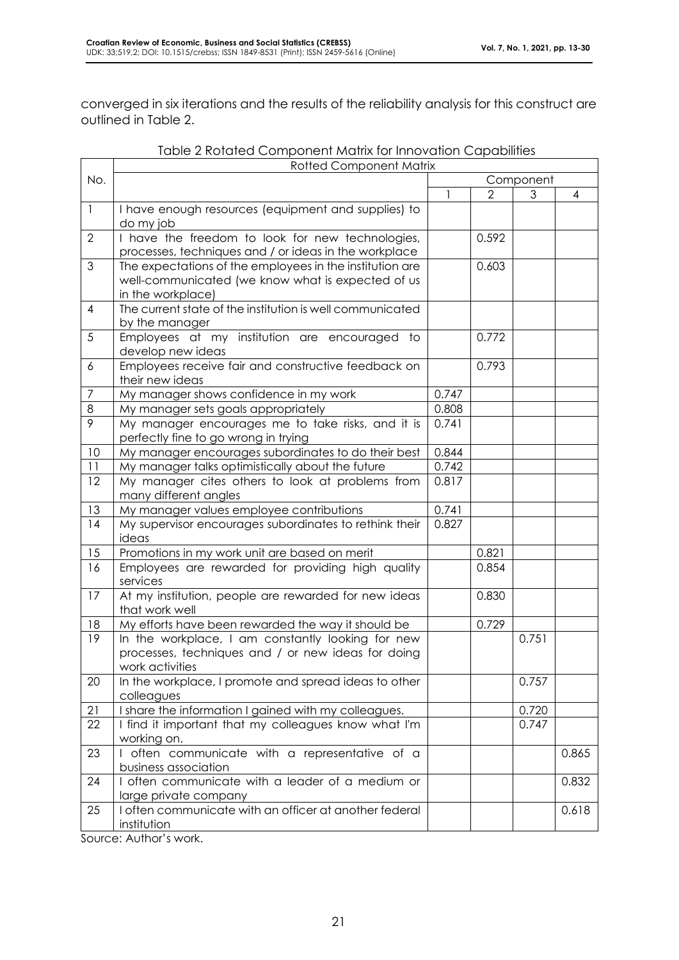converged in six iterations and the results of the reliability analysis for this construct are outlined in Table 2.

|                | <b>Rotted Component Matrix</b>                                                                                                     |           |                |       |       |  |  |
|----------------|------------------------------------------------------------------------------------------------------------------------------------|-----------|----------------|-------|-------|--|--|
| No.            |                                                                                                                                    | Component |                |       |       |  |  |
|                |                                                                                                                                    |           | $\overline{2}$ | 3     | 4     |  |  |
| $\mathbf{1}$   | I have enough resources (equipment and supplies) to<br>do my job                                                                   |           |                |       |       |  |  |
| $\overline{2}$ | I have the freedom to look for new technologies,<br>processes, techniques and / or ideas in the workplace                          |           | 0.592          |       |       |  |  |
| $\mathfrak{Z}$ | The expectations of the employees in the institution are<br>well-communicated (we know what is expected of us<br>in the workplace) |           | 0.603          |       |       |  |  |
| $\overline{4}$ | The current state of the institution is well communicated<br>by the manager                                                        |           |                |       |       |  |  |
| 5              | Employees at my institution are encouraged to<br>develop new ideas                                                                 |           | 0.772          |       |       |  |  |
| 6              | Employees receive fair and constructive feedback on<br>their new ideas                                                             |           | 0.793          |       |       |  |  |
| $\overline{7}$ | My manager shows confidence in my work                                                                                             | 0.747     |                |       |       |  |  |
| 8              | My manager sets goals appropriately                                                                                                | 0.808     |                |       |       |  |  |
| 9              | My manager encourages me to take risks, and it is<br>perfectly fine to go wrong in trying                                          | 0.741     |                |       |       |  |  |
| 10             | My manager encourages subordinates to do their best                                                                                | 0.844     |                |       |       |  |  |
| 11             | My manager talks optimistically about the future                                                                                   | 0.742     |                |       |       |  |  |
| 12             | My manager cites others to look at problems from<br>many different angles                                                          | 0.817     |                |       |       |  |  |
| 13             | My manager values employee contributions                                                                                           | 0.741     |                |       |       |  |  |
| 14             | My supervisor encourages subordinates to rethink their<br>ideas                                                                    | 0.827     |                |       |       |  |  |
| 15             | Promotions in my work unit are based on merit                                                                                      |           | 0.821          |       |       |  |  |
| 16             | Employees are rewarded for providing high quality<br>services                                                                      |           | 0.854          |       |       |  |  |
| 17             | At my institution, people are rewarded for new ideas<br>that work well                                                             |           | 0.830          |       |       |  |  |
| 18             | My efforts have been rewarded the way it should be                                                                                 |           | 0.729          |       |       |  |  |
| 19             | In the workplace, I am constantly looking for new<br>processes, techniques and / or new ideas for doing<br>work activities         |           |                | 0.751 |       |  |  |
| 20             | In the workplace, I promote and spread ideas to other<br>colleagues                                                                |           |                | 0.757 |       |  |  |
| 21             | I share the information I gained with my colleagues.                                                                               |           |                | 0.720 |       |  |  |
| 22             | I find it important that my colleagues know what I'm<br>working on.                                                                |           |                | 0.747 |       |  |  |
| 23             | I often communicate with a representative of a<br>business association                                                             |           |                |       | 0.865 |  |  |
| 24             | I often communicate with a leader of a medium or<br>large private company                                                          |           |                |       | 0.832 |  |  |
| 25             | I often communicate with an officer at another federal<br>institution                                                              |           |                |       | 0.618 |  |  |

| Table 2 Rotated Component Matrix for Innovation Capabilities |  |  |  |
|--------------------------------------------------------------|--|--|--|
|--------------------------------------------------------------|--|--|--|

Source: Author's work.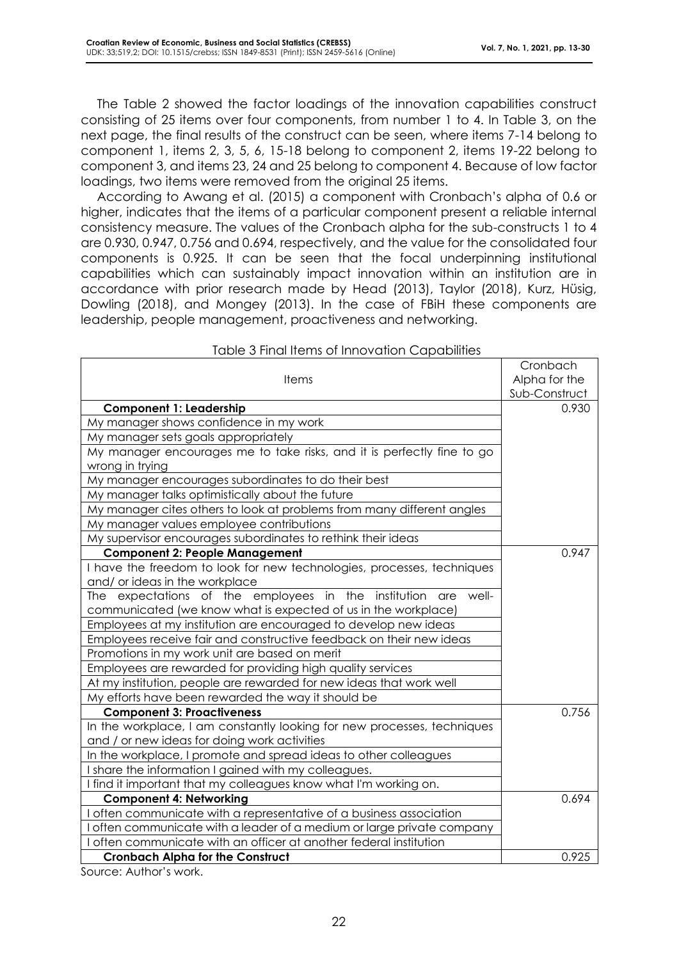The Table 2 showed the factor loadings of the innovation capabilities construct consisting of 25 items over four components, from number 1 to 4. In Table 3, on the next page, the final results of the construct can be seen, where items 7-14 belong to component 1, items 2, 3, 5, 6, 15-18 belong to component 2, items 19-22 belong to component 3, and items 23, 24 and 25 belong to component 4. Because of low factor loadings, two items were removed from the original 25 items.

According to Awang et al. (2015) a component with Cronbach's alpha of 0.6 or higher, indicates that the items of a particular component present a reliable internal consistency measure. The values of the Cronbach alpha for the sub-constructs 1 to 4 are 0.930, 0.947, 0.756 and 0.694, respectively, and the value for the consolidated four components is 0.925. It can be seen that the focal underpinning institutional capabilities which can sustainably impact innovation within an institution are in accordance with prior research made by Head (2013), Taylor (2018), Kurz, Hüsig, Dowling (2018), and Mongey (2013). In the case of FBiH these components are leadership, people management, proactiveness and networking.

| <u>rapie o Finaments or impovation Capabilities</u>                     |               |
|-------------------------------------------------------------------------|---------------|
|                                                                         | Cronbach      |
| <b>Items</b>                                                            | Alpha for the |
|                                                                         | Sub-Construct |
| <b>Component 1: Leadership</b>                                          | 0.930         |
| My manager shows confidence in my work                                  |               |
| My manager sets goals appropriately                                     |               |
| My manager encourages me to take risks, and it is perfectly fine to go  |               |
| wrong in trying                                                         |               |
| My manager encourages subordinates to do their best                     |               |
| My manager talks optimistically about the future                        |               |
| My manager cites others to look at problems from many different angles  |               |
| My manager values employee contributions                                |               |
| My supervisor encourages subordinates to rethink their ideas            |               |
| <b>Component 2: People Management</b>                                   | 0.947         |
| I have the freedom to look for new technologies, processes, techniques  |               |
| and/ or ideas in the workplace                                          |               |
| The expectations of the employees in the institution are well-          |               |
| communicated (we know what is expected of us in the workplace)          |               |
| Employees at my institution are encouraged to develop new ideas         |               |
| Employees receive fair and constructive feedback on their new ideas     |               |
| Promotions in my work unit are based on merit                           |               |
| Employees are rewarded for providing high quality services              |               |
| At my institution, people are rewarded for new ideas that work well     |               |
| My efforts have been rewarded the way it should be                      |               |
| <b>Component 3: Proactiveness</b>                                       | 0.756         |
| In the workplace, I am constantly looking for new processes, techniques |               |
| and / or new ideas for doing work activities                            |               |
| In the workplace, I promote and spread ideas to other colleagues        |               |
| I share the information I gained with my colleagues.                    |               |
| I find it important that my colleagues know what I'm working on.        |               |
| <b>Component 4: Networking</b>                                          | 0.694         |
| often communicate with a representative of a business association       |               |
| often communicate with a leader of a medium or large private company    |               |
| often communicate with an officer at another federal institution        |               |
| <b>Cronbach Alpha for the Construct</b>                                 | 0.925         |

#### Table 3 Final Items of Innovation Capabilities

Source: Author's work.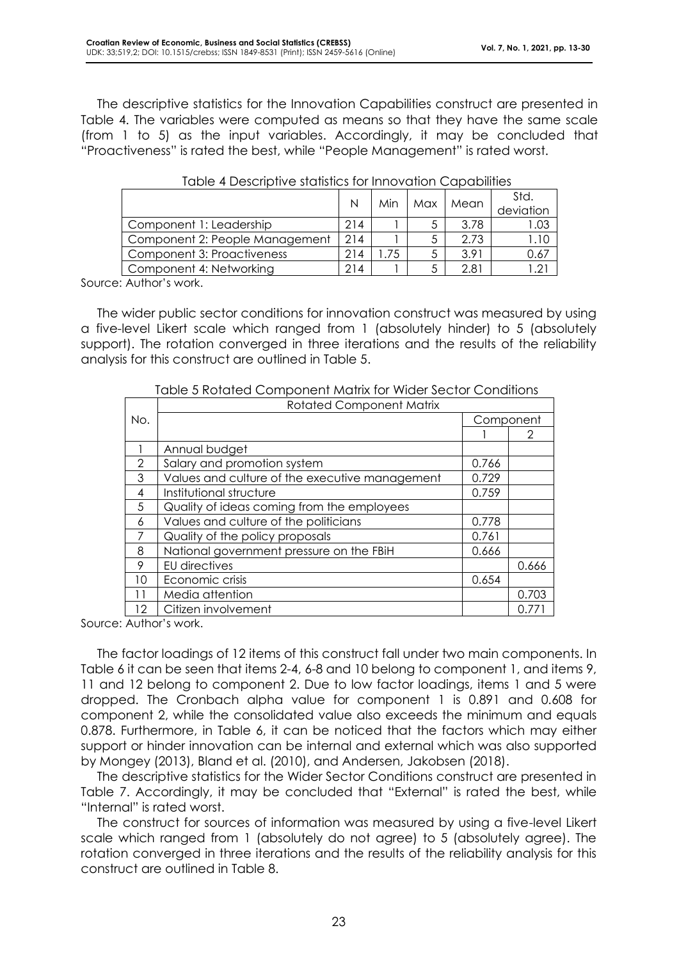The descriptive statistics for the Innovation Capabilities construct are presented in Table 4. The variables were computed as means so that they have the same scale (from 1 to 5) as the input variables. Accordingly, it may be concluded that "Proactiveness" is rated the best, while "People Management" is rated worst.

|                                | N   | Min | Max | Mean | Std.<br>deviation |
|--------------------------------|-----|-----|-----|------|-------------------|
| Component 1: Leadership        | 214 |     |     | 3.78 | 1.03              |
| Component 2: People Management | 214 |     |     | 2.73 | 1.10              |
| Component 3: Proactiveness     | 214 | 75  |     | 3.91 | 0.67              |
| Component 4: Networking        | 214 |     |     | 2.81 |                   |

| Table 4 Descriptive statistics for Innovation Capabilities |  |  |
|------------------------------------------------------------|--|--|
|------------------------------------------------------------|--|--|

Source: Author's work.

The wider public sector conditions for innovation construct was measured by using a five-level Likert scale which ranged from 1 (absolutely hinder) to 5 (absolutely support). The rotation converged in three iterations and the results of the reliability analysis for this construct are outlined in Table 5.

|               | <b>Rotated Component Matrix</b>                |           |       |  |  |  |
|---------------|------------------------------------------------|-----------|-------|--|--|--|
| No.           |                                                | Component |       |  |  |  |
|               |                                                |           | 2     |  |  |  |
|               | Annual budget                                  |           |       |  |  |  |
| $\mathcal{P}$ | Salary and promotion system                    | 0.766     |       |  |  |  |
| 3             | Values and culture of the executive management | 0.729     |       |  |  |  |
| 4             | Institutional structure                        | 0.759     |       |  |  |  |
| 5             | Quality of ideas coming from the employees     |           |       |  |  |  |
| 6             | Values and culture of the politicians          | 0.778     |       |  |  |  |
| 7             | Quality of the policy proposals                | 0.761     |       |  |  |  |
| 8             | National government pressure on the FBiH       | 0.666     |       |  |  |  |
| 9             | EU directives                                  |           | 0.666 |  |  |  |
| 10            | Economic crisis                                | 0.654     |       |  |  |  |
| 11            | Media attention                                |           | 0.703 |  |  |  |
| 12            | Citizen involvement                            |           |       |  |  |  |

Table 5 Rotated Component Matrix for Wider Sector Conditions

Source: Author's work.

The factor loadings of 12 items of this construct fall under two main components. In Table 6 it can be seen that items 2-4, 6-8 and 10 belong to component 1, and items 9, 11 and 12 belong to component 2. Due to low factor loadings, items 1 and 5 were dropped. The Cronbach alpha value for component 1 is 0.891 and 0.608 for component 2, while the consolidated value also exceeds the minimum and equals 0.878. Furthermore, in Table 6, it can be noticed that the factors which may either support or hinder innovation can be internal and external which was also supported by Mongey (2013), Bland et al. (2010), and Andersen, Jakobsen (2018).

The descriptive statistics for the Wider Sector Conditions construct are presented in Table 7. Accordingly, it may be concluded that "External" is rated the best, while "Internal" is rated worst.

The construct for sources of information was measured by using a five-level Likert scale which ranged from 1 (absolutely do not agree) to 5 (absolutely agree). The rotation converged in three iterations and the results of the reliability analysis for this construct are outlined in Table 8.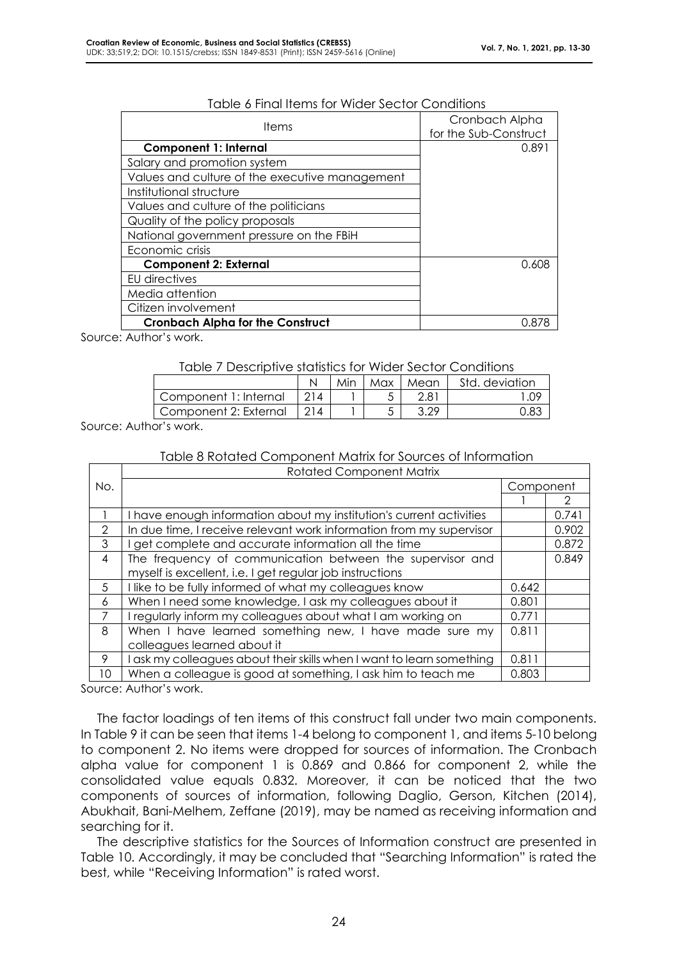| Cronbach Alpha<br>for the Sub-Construct |
|-----------------------------------------|
| 0.891                                   |
|                                         |
|                                         |
|                                         |
|                                         |
|                                         |
|                                         |
|                                         |
| 0.608                                   |
|                                         |
|                                         |
|                                         |
| በ ጸ7ዖ                                   |
|                                         |

#### Table 6 Final Items for Wider Sector Conditions

Source: Author's work.

#### Table 7 Descriptive statistics for Wider Sector Conditions

|                       |  |  | Max | Mean | Std. deviation |  |
|-----------------------|--|--|-----|------|----------------|--|
| Component 1: Internal |  |  |     | 2.81 |                |  |
| Component 2: External |  |  |     | ാ ററ |                |  |
|                       |  |  |     |      |                |  |

Source: Author's work.

#### Table 8 Rotated Component Matrix for Sources of Information

|                | <b>Rotated Component Matrix</b>                                     |       |       |  |
|----------------|---------------------------------------------------------------------|-------|-------|--|
| No.            | Component                                                           |       |       |  |
|                |                                                                     |       |       |  |
|                | I have enough information about my institution's current activities |       | 0.741 |  |
| $\mathcal{P}$  | In due time, I receive relevant work information from my supervisor |       | 0.902 |  |
| 3              | get complete and accurate information all the time                  |       | 0.872 |  |
| $\overline{4}$ | The frequency of communication between the supervisor and           |       | 0.849 |  |
|                | myself is excellent, i.e. I get regular job instructions            |       |       |  |
| 5              | I like to be fully informed of what my colleagues know              | 0.642 |       |  |
| 6              | When I need some knowledge, I ask my colleagues about it            | 0.801 |       |  |
|                | I regularly inform my colleagues about what I am working on         | 0.771 |       |  |
| 8              | When I have learned something new, I have made sure my              | 0.811 |       |  |
|                | colleagues learned about it                                         |       |       |  |
| 9              | ask my colleagues about their skills when I want to learn something | 0.811 |       |  |
| 10             | When a colleague is good at something, I ask him to teach me        | 0.803 |       |  |

Source: Author's work.

The factor loadings of ten items of this construct fall under two main components. In Table 9 it can be seen that items 1-4 belong to component 1, and items 5-10 belong to component 2. No items were dropped for sources of information. The Cronbach alpha value for component 1 is 0.869 and 0.866 for component 2, while the consolidated value equals 0.832. Moreover, it can be noticed that the two components of sources of information, following Daglio, Gerson, Kitchen (2014), Abukhait, Bani-Melhem, Zeffane (2019), may be named as receiving information and searching for it.

The descriptive statistics for the Sources of Information construct are presented in Table 10. Accordingly, it may be concluded that "Searching Information" is rated the best, while "Receiving Information" is rated worst.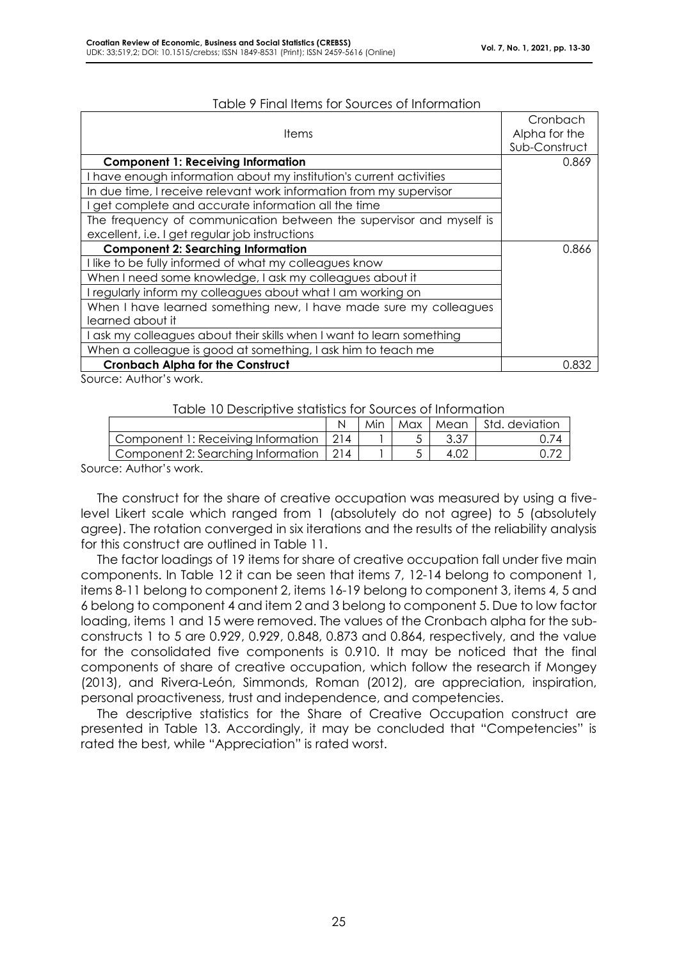|                                                                     | Cronbach      |
|---------------------------------------------------------------------|---------------|
| <b>Items</b>                                                        | Alpha for the |
|                                                                     | Sub-Construct |
| <b>Component 1: Receiving Information</b>                           | 0.869         |
| I have enough information about my institution's current activities |               |
| In due time, I receive relevant work information from my supervisor |               |
| get complete and accurate information all the time                  |               |
| The frequency of communication between the supervisor and myself is |               |
| excellent, i.e. I get regular job instructions                      |               |
| <b>Component 2: Searching Information</b>                           | 0.866         |
| I like to be fully informed of what my colleagues know              |               |
| When I need some knowledge, I ask my colleagues about it            |               |
| I regularly inform my colleagues about what I am working on         |               |
| When I have learned something new, I have made sure my colleagues   |               |
| learned about it                                                    |               |
| ask my colleagues about their skills when I want to learn something |               |
| When a colleague is good at something, I ask him to teach me        |               |
| <b>Cronbach Alpha for the Construct</b>                             | 0.832         |

#### Table 9 Final Items for Sources of Information

Source: Author's work.

#### Table 10 Descriptive statistics for Sources of Information

|                                          | Min |  | Max   Mean   Std. deviation |
|------------------------------------------|-----|--|-----------------------------|
| Component 1: Receiving Information   214 |     |  |                             |
| Component 2: Searching Information   214 |     |  |                             |
|                                          |     |  |                             |

Source: Author's work.

The construct for the share of creative occupation was measured by using a fivelevel Likert scale which ranged from 1 (absolutely do not agree) to 5 (absolutely agree). The rotation converged in six iterations and the results of the reliability analysis for this construct are outlined in Table 11.

The factor loadings of 19 items for share of creative occupation fall under five main components. In Table 12 it can be seen that items 7, 12-14 belong to component 1, items 8-11 belong to component 2, items 16-19 belong to component 3, items 4, 5 and 6 belong to component 4 and item 2 and 3 belong to component 5. Due to low factor loading, items 1 and 15 were removed. The values of the Cronbach alpha for the subconstructs 1 to 5 are 0.929, 0.929, 0.848, 0.873 and 0.864, respectively, and the value for the consolidated five components is 0.910. It may be noticed that the final components of share of creative occupation, which follow the research if Mongey (2013), and Rivera-León, Simmonds, Roman (2012), are appreciation, inspiration, personal proactiveness, trust and independence, and competencies.

The descriptive statistics for the Share of Creative Occupation construct are presented in Table 13. Accordingly, it may be concluded that "Competencies" is rated the best, while "Appreciation" is rated worst.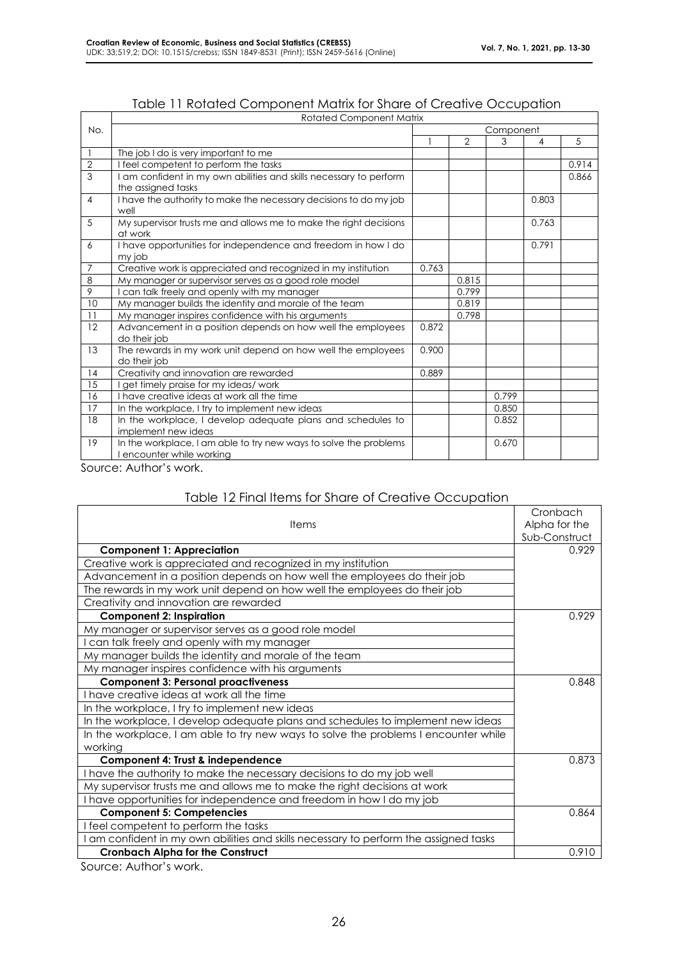|                | <b>Rotated Component Matrix</b>                                                              |       |       |           |       |       |
|----------------|----------------------------------------------------------------------------------------------|-------|-------|-----------|-------|-------|
| No.            |                                                                                              |       |       | Component |       |       |
|                |                                                                                              |       | 2     | 3         | 4     | 5     |
|                | The job I do is very important to me                                                         |       |       |           |       |       |
| $\overline{2}$ | I feel competent to perform the tasks                                                        |       |       |           |       | 0.914 |
| $\overline{3}$ | I am confident in my own abilities and skills necessary to perform                           |       |       |           |       | 0.866 |
|                | the assigned tasks                                                                           |       |       |           |       |       |
| $\overline{4}$ | I have the authority to make the necessary decisions to do my job<br>well                    |       |       |           | 0.803 |       |
| 5              | My supervisor trusts me and allows me to make the right decisions<br>at work                 |       |       |           | 0.763 |       |
| 6              | I have opportunities for independence and freedom in how I do<br>my job                      |       |       |           | 0.791 |       |
| 7              | Creative work is appreciated and recognized in my institution                                | 0.763 |       |           |       |       |
| 8              | My manager or supervisor serves as a good role model                                         |       | 0.815 |           |       |       |
| 9              | can talk freely and openly with my manager                                                   |       | 0.799 |           |       |       |
| 10             | My manager builds the identity and morale of the team                                        |       | 0.819 |           |       |       |
| 11             | My manager inspires confidence with his arguments                                            |       | 0.798 |           |       |       |
| 12             | Advancement in a position depends on how well the employees<br>do their job                  | 0.872 |       |           |       |       |
| 13             | The rewards in my work unit depend on how well the employees<br>do their job                 | 0.900 |       |           |       |       |
| 14             | Creativity and innovation are rewarded                                                       | 0.889 |       |           |       |       |
| 15             | get timely praise for my ideas/ work                                                         |       |       |           |       |       |
| 16             | I have creative ideas at work all the time                                                   |       |       | 0.799     |       |       |
| 17             | In the workplace, I try to implement new ideas                                               |       |       | 0.850     |       |       |
| 18             | In the workplace, I develop adequate plans and schedules to                                  |       |       | 0.852     |       |       |
|                | implement new ideas                                                                          |       |       |           |       |       |
| 19             | In the workplace, I am able to try new ways to solve the problems<br>encounter while working |       |       | 0.670     |       |       |

Source: Author's work.

#### Table 12 Final Items for Share of Creative Occupation

| <b>Items</b>                                                                        | Cronbach<br>Alpha for the<br>Sub-Construct |
|-------------------------------------------------------------------------------------|--------------------------------------------|
| <b>Component 1: Appreciation</b>                                                    | 0.929                                      |
| Creative work is appreciated and recognized in my institution                       |                                            |
| Advancement in a position depends on how well the employees do their job            |                                            |
| The rewards in my work unit depend on how well the employees do their job           |                                            |
| Creativity and innovation are rewarded                                              |                                            |
| <b>Component 2: Inspiration</b>                                                     | 0.929                                      |
| My manager or supervisor serves as a good role model                                |                                            |
| can talk freely and openly with my manager                                          |                                            |
| My manager builds the identity and morale of the team                               |                                            |
| My manager inspires confidence with his arguments                                   |                                            |
| <b>Component 3: Personal proactiveness</b>                                          | 0.848                                      |
| I have creative ideas at work all the time                                          |                                            |
| In the workplace, I try to implement new ideas                                      |                                            |
| In the workplace, I develop adequate plans and schedules to implement new ideas     |                                            |
| In the workplace, I am able to try new ways to solve the problems I encounter while |                                            |
| working                                                                             |                                            |
| Component 4: Trust & independence                                                   | 0.873                                      |
| I have the authority to make the necessary decisions to do my job well              |                                            |
| My supervisor trusts me and allows me to make the right decisions at work           |                                            |
| I have opportunities for independence and freedom in how I do my job                |                                            |
| <b>Component 5: Competencies</b>                                                    | 0.864                                      |
| I feel competent to perform the tasks                                               |                                            |
| am confident in my own abilities and skills necessary to perform the assigned tasks |                                            |
| <b>Cronbach Alpha for the Construct</b>                                             | 0.910                                      |

Source: Author's work.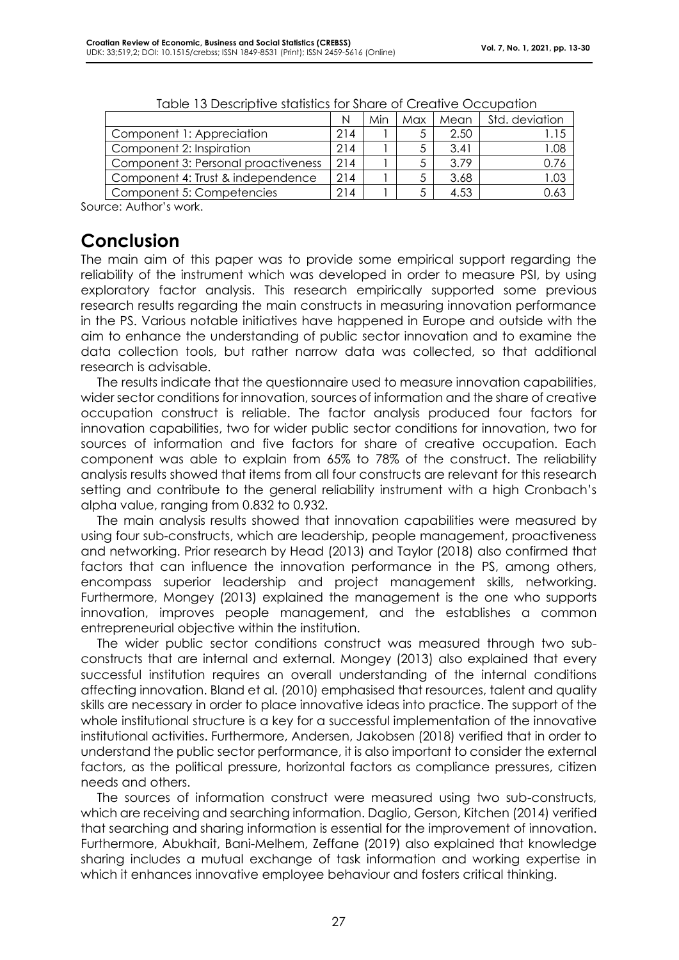|                                     | N   | Min | Max | Mean | Std. deviation |
|-------------------------------------|-----|-----|-----|------|----------------|
| Component 1: Appreciation           | 214 |     |     | 2.50 |                |
| Component 2: Inspiration            | 214 |     |     | 3.41 | .08            |
| Component 3: Personal proactiveness | 214 |     |     | 3.79 | 0.76           |
| Component 4: Trust & independence   | 214 |     |     | 3.68 | 03             |
| Component 5: Competencies           | 214 |     |     | 4.53 | 53.ر           |

| Table 13 Descriptive statistics for Share of Creative Occupation |
|------------------------------------------------------------------|
|------------------------------------------------------------------|

Source: Author's work.

### **Conclusion**

The main aim of this paper was to provide some empirical support regarding the reliability of the instrument which was developed in order to measure PSI, by using exploratory factor analysis. This research empirically supported some previous research results regarding the main constructs in measuring innovation performance in the PS. Various notable initiatives have happened in Europe and outside with the aim to enhance the understanding of public sector innovation and to examine the data collection tools, but rather narrow data was collected, so that additional research is advisable.

The results indicate that the questionnaire used to measure innovation capabilities, wider sector conditions for innovation, sources of information and the share of creative occupation construct is reliable. The factor analysis produced four factors for innovation capabilities, two for wider public sector conditions for innovation, two for sources of information and five factors for share of creative occupation. Each component was able to explain from 65% to 78% of the construct. The reliability analysis results showed that items from all four constructs are relevant for this research setting and contribute to the general reliability instrument with a high Cronbach's alpha value, ranging from 0.832 to 0.932.

The main analysis results showed that innovation capabilities were measured by using four sub-constructs, which are leadership, people management, proactiveness and networking. Prior research by Head (2013) and Taylor (2018) also confirmed that factors that can influence the innovation performance in the PS, among others, encompass superior leadership and project management skills, networking. Furthermore, Mongey (2013) explained the management is the one who supports innovation, improves people management, and the establishes a common entrepreneurial objective within the institution.

The wider public sector conditions construct was measured through two subconstructs that are internal and external. Mongey (2013) also explained that every successful institution requires an overall understanding of the internal conditions affecting innovation. Bland et al. (2010) emphasised that resources, talent and quality skills are necessary in order to place innovative ideas into practice. The support of the whole institutional structure is a key for a successful implementation of the innovative institutional activities. Furthermore, Andersen, Jakobsen (2018) verified that in order to understand the public sector performance, it is also important to consider the external factors, as the political pressure, horizontal factors as compliance pressures, citizen needs and others.

The sources of information construct were measured using two sub-constructs, which are receiving and searching information. Daglio, Gerson, Kitchen (2014) verified that searching and sharing information is essential for the improvement of innovation. Furthermore, Abukhait, Bani-Melhem, Zeffane (2019) also explained that knowledge sharing includes a mutual exchange of task information and working expertise in which it enhances innovative employee behaviour and fosters critical thinking.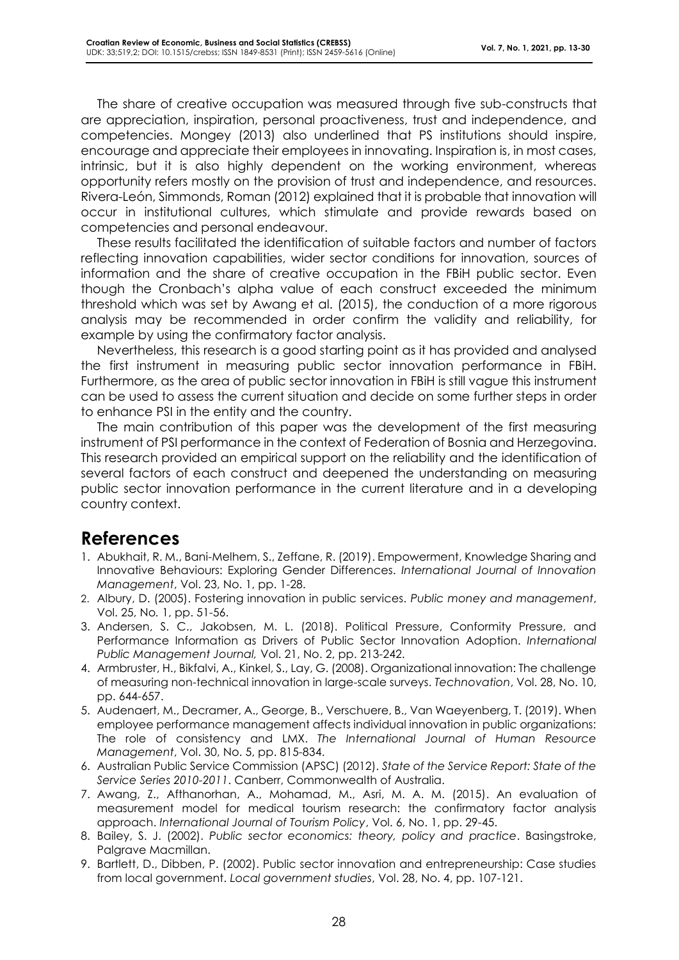The share of creative occupation was measured through five sub-constructs that are appreciation, inspiration, personal proactiveness, trust and independence, and competencies. Mongey (2013) also underlined that PS institutions should inspire, encourage and appreciate their employees in innovating. Inspiration is, in most cases, intrinsic, but it is also highly dependent on the working environment, whereas opportunity refers mostly on the provision of trust and independence, and resources. Rivera-León, Simmonds, Roman (2012) explained that it is probable that innovation will occur in institutional cultures, which stimulate and provide rewards based on competencies and personal endeavour.

These results facilitated the identification of suitable factors and number of factors reflecting innovation capabilities, wider sector conditions for innovation, sources of information and the share of creative occupation in the FBiH public sector. Even though the Cronbach's alpha value of each construct exceeded the minimum threshold which was set by Awang et al. (2015), the conduction of a more rigorous analysis may be recommended in order confirm the validity and reliability, for example by using the confirmatory factor analysis.

Nevertheless, this research is a good starting point as it has provided and analysed the first instrument in measuring public sector innovation performance in FBiH. Furthermore, as the area of public sector innovation in FBiH is still vague this instrument can be used to assess the current situation and decide on some further steps in order to enhance PSI in the entity and the country.

The main contribution of this paper was the development of the first measuring instrument of PSI performance in the context of Federation of Bosnia and Herzegovina. This research provided an empirical support on the reliability and the identification of several factors of each construct and deepened the understanding on measuring public sector innovation performance in the current literature and in a developing country context.

# **References**

- 1. Abukhait, R. M., Bani-Melhem, S., Zeffane, R. (2019). Empowerment, Knowledge Sharing and Innovative Behaviours: Exploring Gender Differences. *International Journal of Innovation Management*, Vol. 23, No. 1, pp. 1-28.
- 2. Albury, D. (2005). Fostering innovation in public services. *Public money and management*, Vol. 25, No*.* 1, pp. 51-56.
- 3. Andersen, S. C., Jakobsen, M. L. (2018). Political Pressure, Conformity Pressure, and Performance Information as Drivers of Public Sector Innovation Adoption. *International Public Management Journal,* Vol. 21, No. 2, pp. 213-242.
- 4. Armbruster, H., Bikfalvi, A., Kinkel, S., Lay, G. (2008). Organizational innovation: The challenge of measuring non-technical innovation in large-scale surveys. *Technovation*, Vol. 28, No. 10, pp. 644-657.
- 5. Audenaert, M., Decramer, A., George, B., Verschuere, B., Van Waeyenberg, T. (2019). When employee performance management affects individual innovation in public organizations: The role of consistency and LMX. *The International Journal of Human Resource Management*, Vol. 30, No. 5, pp. 815-834.
- 6. Australian Public Service Commission (APSC) (2012). *State of the Service Report: State of the Service Series 2010-2011*. Canberr, Commonwealth of Australia.
- 7. Awang, Z., Afthanorhan, A., Mohamad, M., Asri, M. A. M. (2015). An evaluation of measurement model for medical tourism research: the confirmatory factor analysis approach. *International Journal of Tourism Policy*, Vol. 6, No. 1, pp. 29-45.
- 8. Bailey, S. J. (2002). *Public sector economics: theory, policy and practice*. Basingstroke, Palgrave Macmillan.
- 9. Bartlett, D., Dibben, P. (2002). Public sector innovation and entrepreneurship: Case studies from local government. *Local government studies*, Vol. 28, No. 4, pp. 107-121.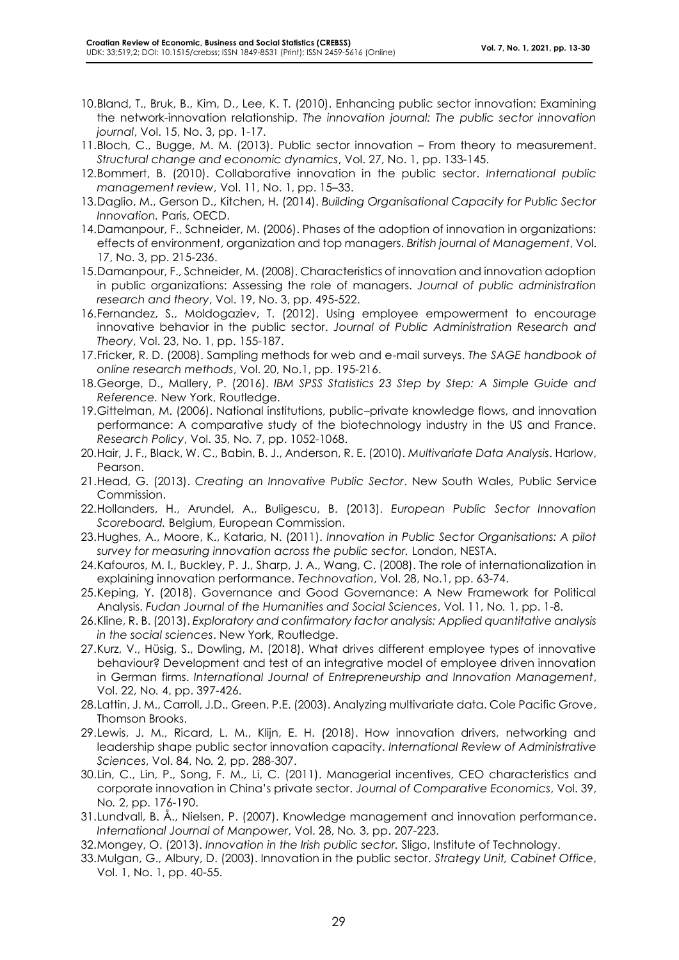- 10.Bland, T., Bruk, B., Kim, D., Lee, K. T. (2010). Enhancing public sector innovation: Examining the network-innovation relationship. *The innovation journal: The public sector innovation journal*, Vol. 15, No. 3, pp. 1-17.
- 11.Bloch, C., Bugge, M. M. (2013). Public sector innovation From theory to measurement. *Structural change and economic dynamics*, Vol. 27, No. 1, pp. 133-145.
- 12.Bommert, B. (2010). Collaborative innovation in the public sector. *International public management review*, Vol. 11, No. 1, pp. 15–33.
- 13.Daglio, M., Gerson D., Kitchen, H. (2014). *Building Organisational Capacity for Public Sector Innovation.* Paris, OECD.
- 14.Damanpour, F., Schneider, M. (2006). Phases of the adoption of innovation in organizations: effects of environment, organization and top managers. *British journal of Management*, Vol. 17, No. 3, pp. 215-236.
- 15.Damanpour, F., Schneider, M. (2008). Characteristics of innovation and innovation adoption in public organizations: Assessing the role of managers. *Journal of public administration research and theory*, Vol. 19, No. 3, pp. 495-522.
- 16.Fernandez, S., Moldogaziev, T. (2012). Using employee empowerment to encourage innovative behavior in the public sector. *Journal of Public Administration Research and Theory*, Vol. 23, No. 1, pp. 155-187.
- 17.Fricker, R. D. (2008). Sampling methods for web and e-mail surveys. *The SAGE handbook of online research methods*, Vol. 20, No.1, pp. 195-216.
- 18.George, D., Mallery, P. (2016). *IBM SPSS Statistics 23 Step by Step: A Simple Guide and Reference.* New York, Routledge.
- 19.Gittelman, M. (2006). National institutions, public–private knowledge flows, and innovation performance: A comparative study of the biotechnology industry in the US and France. *Research Policy*, Vol. 35, No*.* 7, pp. 1052-1068.
- 20.Hair, J. F., Black, W. C., Babin, B. J., Anderson, R. E. (2010). *Multivariate Data Analysis*. Harlow, Pearson.
- 21.Head, G. (2013). *Creating an Innovative Public Sector*. New South Wales, Public Service Commission.
- 22.Hollanders, H., Arundel, A., Buligescu, B. (2013). *European Public Sector Innovation Scoreboard.* Belgium, European Commission.
- 23.Hughes, A., Moore, K., Kataria, N. (2011). *Innovation in Public Sector Organisations: A pilot survey for measuring innovation across the public sector.* London, NESTA.
- 24.Kafouros, M. I., Buckley, P. J., Sharp, J. A., Wang, C. (2008). The role of internationalization in explaining innovation performance. *Technovation*, Vol. 28, No.1, pp. 63-74.
- 25.Keping, Y. (2018). Governance and Good Governance: A New Framework for Political Analysis. *Fudan Journal of the Humanities and Social Sciences*, Vol. 11, No*.* 1, pp. 1-8.
- 26.Kline, R. B. (2013). *Exploratory and confirmatory factor analysis: Applied quantitative analysis in the social sciences*. New York, Routledge.
- 27.Kurz, V., Hüsig, S., Dowling, M. (2018). What drives different employee types of innovative behaviour? Development and test of an integrative model of employee driven innovation in German firms. *International Journal of Entrepreneurship and Innovation Management*, Vol. 22, No*.* 4, pp. 397-426.
- 28.Lattin, J. M., Carroll, J.D., Green, P.E. (2003). Analyzing multivariate data. Cole Pacific Grove, Thomson Brooks.
- 29.Lewis, J. M., Ricard, L. M., Klijn, E. H. (2018). How innovation drivers, networking and leadership shape public sector innovation capacity. *International Review of Administrative Sciences*, Vol. 84, No*.* 2, pp. 288-307.
- 30.Lin, C., Lin, P., Song, F. M., Li, C. (2011). Managerial incentives, CEO characteristics and corporate innovation in China's private sector. *Journal of Comparative Economics*, Vol. 39, No*.* 2, pp. 176-190.
- 31.Lundvall, B. Å., Nielsen, P. (2007). Knowledge management and innovation performance. *International Journal of Manpower*, Vol. 28, No*.* 3, pp. 207-223.
- 32.Mongey, O. (2013). *Innovation in the Irish public sector.* Sligo, Institute of Technology.
- 33.Mulgan, G., Albury, D. (2003). Innovation in the public sector. *Strategy Unit, Cabinet Office*, Vol. 1, No. 1, pp. 40-55.